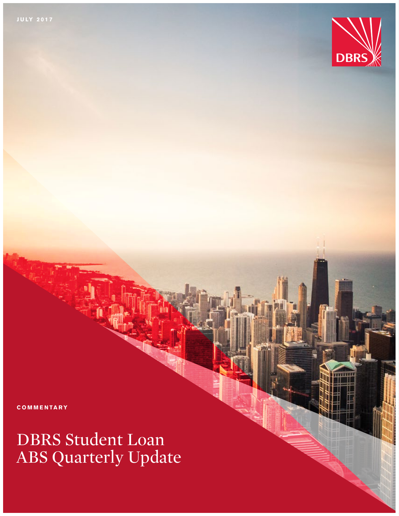

**COMMENTARY** 

# DBRS Student Loan ABS Quarterly Update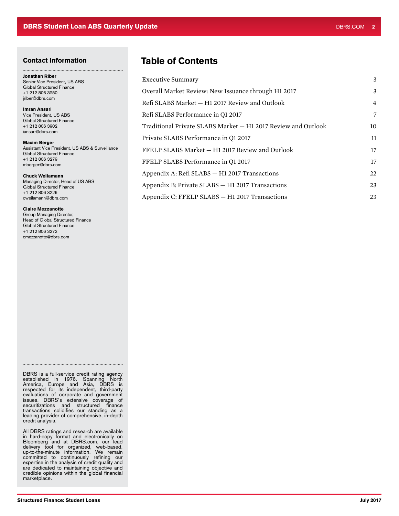### Contact Information

Jonathan Riber Senior Vice President, US ABS Global Structured Finance +1 212 806 3250 jriber@dbrs.com

Imran Ansari Vice President, US ABS Global Structured Finance +1 212 806 3902 iansari@dbrs.com

Maxim Berger Assistant Vice President, US ABS & Surveillance Global Structured Finance +1 212 806 3279 mberger@dbrs.com

#### Chuck Weilamann

Managing Director, Head of US ABS Global Structured Finance +1 212 806 3226 cweilamann@dbrs.com

#### Claire Mezzanotte

Group Managing Director, Head of Global Structured Finance Global Structured Finance +1 212 806 3272 cmezzanotte@dbrs.com

# Table of Contents

| <b>Executive Summary</b>                                      | 3              |
|---------------------------------------------------------------|----------------|
| Overall Market Review: New Issuance through H1 2017           | 3              |
| Refi SLABS Market - H1 2017 Review and Outlook                | $\overline{4}$ |
| Refi SLABS Performance in Q1 2017                             | $\overline{7}$ |
| Traditional Private SLABS Market - H1 2017 Review and Outlook | 10             |
| Private SLABS Performance in Q1 2017                          | 11             |
| FFELP SLABS Market - H1 2017 Review and Outlook               | 17             |
| FFELP SLABS Performance in Q1 2017                            | 17             |
| Appendix A: Refi SLABS - H1 2017 Transactions                 | 22             |
| Appendix B: Private SLABS - H1 2017 Transactions              | 23             |
| Appendix C: FFELP SLABS - H1 2017 Transactions                | 23             |

DBRS is a full-service credit rating agency established in 1976. Spanning North America, Europe and Asia, DBRS is respected for its independent, third-party evaluations of corporate and government issues. DBRS's extensive coverage of securitizations and structured finance transactions solidifies our standing as a leading provider of comprehensive, in-depth credit analysis.

All DBRS ratings and research are available in hard-copy format and electronically on Bloomberg and at DBRS.com, our lead delivery tool for organized, web-based, up-to-the-minute information. We remain committed to continuously refining our expertise in the analysis of credit quality and are dedicated to maintaining objective and credible opinions within the global financial marketplace.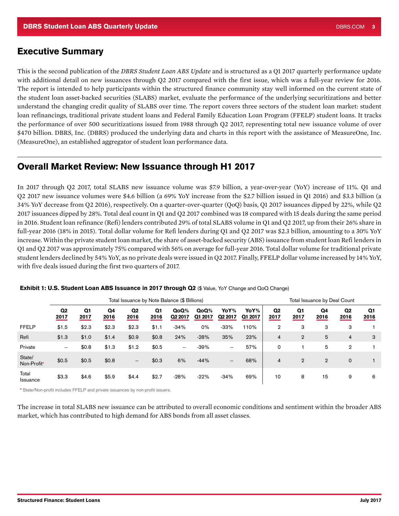### <span id="page-2-0"></span>Executive Summary

This is the second publication of the *DBRS Student Loan ABS Update* and is structured as a Q1 2017 quarterly performance update with additional detail on new issuances through Q2 2017 compared with the first issue, which was a full-year review for 2016. The report is intended to help participants within the structured finance community stay well informed on the current state of the student loan asset-backed securities (SLABS) market, evaluate the performance of the underlying securitizations and better understand the changing credit quality of SLABS over time. The report covers three sectors of the student loan market: student loan refinancings, traditional private student loans and Federal Family Education Loan Program (FFELP) student loans. It tracks the performance of over 500 securitizations issued from 1988 through Q2 2017, representing total new issuance volume of over \$470 billion. DBRS, Inc. (DBRS) produced the underlying data and charts in this report with the assistance of MeasureOne, Inc. (MeasureOne), an established aggregator of student loan performance data.

# Overall Market Review: New Issuance through H1 2017

In 2017 through Q2 2017, total SLABS new issuance volume was \$7.9 billion, a year-over-year (YoY) increase of 11%. Q1 and Q2 2017 new issuance volumes were \$4.6 billion (a 69% YoY increase from the \$2.7 billion issued in Q1 2016) and \$3.3 billion (a 34% YoY decrease from Q2 2016), respectively. On a quarter-over-quarter (QoQ) basis, Q1 2017 issuances dipped by 22%, while Q2 2017 issuances dipped by 28%. Total deal count in Q1 and Q2 2017 combined was 18 compared with 15 deals during the same period in 2016. Student loan refinance (Refi) lenders contributed 29% of total SLABS volume in Q1 and Q2 2017, up from their 26% share in full-year 2016 (18% in 2015). Total dollar volume for Refi lenders during Q1 and Q2 2017 was \$2.3 billion, amounting to a 30% YoY increase. Within the private student loan market, the share of asset-backed security (ABS) issuance from student loan Refi lenders in Q1 and Q2 2017 was approximately 75% compared with 56% on average for full-year 2016. Total dollar volume for traditional private student lenders declined by 54% YoY, as no private deals were issued in Q2 2017. Finally, FFELP dollar volume increased by 14% YoY, with five deals issued during the first two quarters of 2017.

|                       |                          |                        |            |                          |                        | Total Issuance by Note Balance (\$ Billions) |                 |                             |                 | Total Issuance by Deal Count |                        |                |                        |                        |
|-----------------------|--------------------------|------------------------|------------|--------------------------|------------------------|----------------------------------------------|-----------------|-----------------------------|-----------------|------------------------------|------------------------|----------------|------------------------|------------------------|
|                       | Q <sub>2</sub><br>2017   | Q <sub>1</sub><br>2017 | Q4<br>2016 | Q <sub>2</sub><br>2016   | Q <sub>1</sub><br>2016 | QoQ%<br>Q <sub>2</sub> 2017                  | QoQ%<br>Q1 2017 | YoY%<br>Q <sub>2</sub> 2017 | YoY%<br>Q1 2017 | Q <sub>2</sub><br>2017       | Q <sub>1</sub><br>2017 | Q4<br>2016     | Q <sub>2</sub><br>2016 | Q <sub>1</sub><br>2016 |
| <b>FFELP</b>          | \$1.5                    | \$2.3                  | \$2.3      | \$2.3                    | \$1.1                  | $-34%$                                       | 0%              | $-33%$                      | 110%            | $\overline{2}$               | 3                      | 3              | 3                      |                        |
| Refi                  | \$1.3                    | \$1.0                  | \$1.4      | \$0.9                    | \$0.8                  | 24%                                          | $-28%$          | 35%                         | 23%             | 4                            | $\overline{2}$         | 5              | $\overline{4}$         | 3                      |
| Private               | $\overline{\phantom{a}}$ | \$0.8                  | \$1.3      | \$1.2                    | \$0.5                  | $- -$                                        | $-39%$          | $\overline{\phantom{a}}$    | 57%             | $\mathbf 0$                  |                        | 5              | $\overline{2}$         |                        |
| State/<br>Non-Profit* | \$0.5                    | \$0.5                  | \$0.8      | $\overline{\phantom{a}}$ | \$0.3                  | 6%                                           | $-44%$          | $\qquad \qquad \cdots$      | 68%             | 4                            | $\overline{2}$         | $\overline{2}$ | $\mathbf 0$            |                        |
| Total<br>Issuance     | \$3.3                    | \$4.6                  | \$5.9      | \$4.4                    | \$2.7                  | $-28%$                                       | $-22%$          | $-34%$                      | 69%             | 10                           | 8                      | 15             | 9                      | 6                      |

Exhibit 1: U.S. Student Loan ABS Issuance in 2017 through Q2 (\$ Value, YoY Change and QoQ Change)

\* State/Non-profit includes FFELP and private issuances by non-profit issuers.

The increase in total SLABS new issuance can be attributed to overall economic conditions and sentiment within the broader ABS market, which has contributed to high demand for ABS bonds from all asset classes.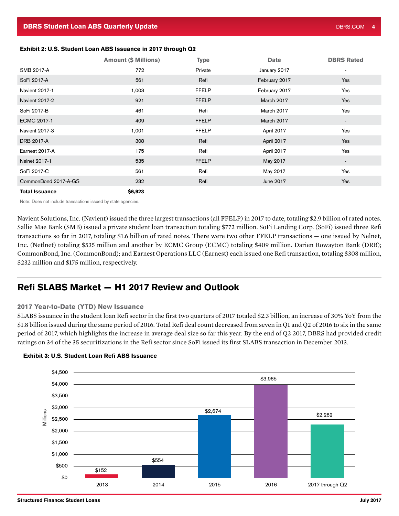### <span id="page-3-0"></span>Exhibit 2: U.S. Student Loan ABS Issuance in 2017 through Q2

|                       | <b>Amount (\$ Millions)</b> | <b>Type</b>  | <b>Date</b>   | <b>DBRS Rated</b> |
|-----------------------|-----------------------------|--------------|---------------|-------------------|
| SMB 2017-A            | 772                         | Private      | January 2017  | $\blacksquare$    |
| SoFi 2017-A           | 561                         | Refi         | February 2017 | Yes               |
| <b>Navient 2017-1</b> | 1,003                       | <b>FFELP</b> | February 2017 | Yes               |
| Navient 2017-2        | 921                         | <b>FFELP</b> | March 2017    | Yes               |
| SoFi 2017-B           | 461                         | Refi         | March 2017    | Yes               |
| ECMC 2017-1           | 409                         | <b>FFELP</b> | March 2017    |                   |
| Navient 2017-3        | 1,001                       | <b>FFELP</b> | April 2017    | Yes               |
| DRB 2017-A            | 308                         | Refi         | April 2017    | Yes               |
| Earnest 2017-A        | 175                         | Refi         | April 2017    | Yes               |
| Nelnet 2017-1         | 535                         | <b>FFELP</b> | May 2017      |                   |
| SoFi 2017-C           | 561                         | Refi         | May 2017      | Yes               |
| CommonBond 2017-A-GS  | 232                         | Refi         | June 2017     | Yes               |
| <b>Total Issuance</b> | \$6,923                     |              |               |                   |

Note: Does not include transactions issued by state agencies.

Navient Solutions, Inc. (Navient) issued the three largest transactions (all FFELP) in 2017 to date, totaling \$2.9 billion of rated notes. Sallie Mae Bank (SMB) issued a private student loan transaction totaling \$772 million. SoFi Lending Corp. (SoFi) issued three Refi transactions so far in 2017, totaling \$1.6 billion of rated notes. There were two other FFELP transactions — one issued by Nelnet, Inc. (Netlnet) totaling \$535 million and another by ECMC Group (ECMC) totaling \$409 million. Darien Rowayton Bank (DRB); CommonBond, Inc. (CommonBond); and Earnest Operations LLC (Earnest) each issued one Refi transaction, totaling \$308 million, \$232 million and \$175 million, respectively.

# Refi SLABS Market — H1 2017 Review and Outlook

#### 2017 Year-to-Date (YTD) New Issuance

SLABS issuance in the student loan Refi sector in the first two quarters of 2017 totaled \$2.3 billion, an increase of 30% YoY from the \$1.8 billion issued during the same period of 2016. Total Refi deal count decreased from seven in Q1 and Q2 of 2016 to six in the same period of 2017, which highlights the increase in average deal size so far this year. By the end of Q2 2017, DBRS had provided credit ratings on 34 of the 35 securitizations in the Refi sector since SoFi issued its first SLABS transaction in December 2013.



#### Exhibit 3: U.S. Student Loan Refi ABS Issuance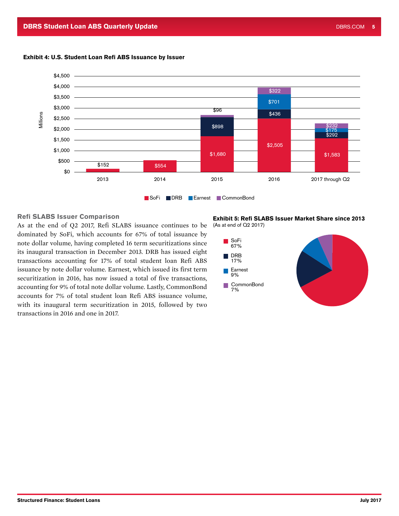

#### Exhibit 4: U.S. Student Loan Refi ABS Issuance by Issuer

### Refi SLABS Issuer Comparison

As at the end of Q2 2017, Refi SLABS issuance continues to be dominated by SoFi, which accounts for 67% of total issuance by note dollar volume, having completed 16 term securitizations since its inaugural transaction in December 2013. DRB has issued eight transactions accounting for 17% of total student loan Refi ABS issuance by note dollar volume. Earnest, which issued its first term securitization in 2016, has now issued a total of five transactions, accounting for 9% of total note dollar volume. Lastly, CommonBond accounts for 7% of total student loan Refi ABS issuance volume, with its inaugural term securitization in 2015, followed by two transactions in 2016 and one in 2017.

Exhibit 5: Refi SLABS Issuer Market Share since 2013 (As at end of Q2 2017)

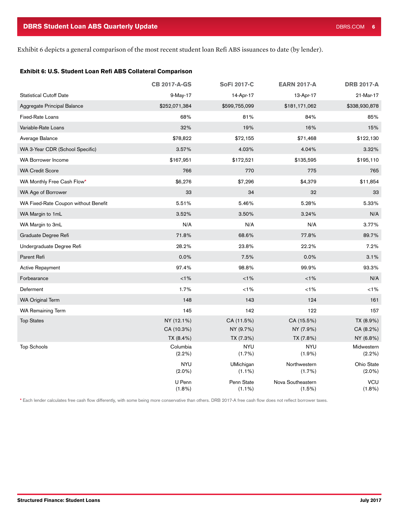Exhibit 6 depicts a general comparison of the most recent student loan Refi ABS issuances to date (by lender).

#### Exhibit 6: U.S. Student Loan Refi ABS Collateral Comparison

|                                      | <b>CB 2017-A-GS</b> | <b>SoFi 2017-C</b>      | <b>EARN 2017-A</b>          | <b>DRB 2017-A</b>       |
|--------------------------------------|---------------------|-------------------------|-----------------------------|-------------------------|
| <b>Statistical Cutoff Date</b>       | 9-May-17            | 14-Apr-17               | 13-Apr-17                   | 21-Mar-17               |
| Aggregate Principal Balance          | \$252,071,384       | \$599,755,099           | \$181,171,062               | \$338,930,878           |
| <b>Fixed-Rate Loans</b>              | 68%                 | 81%                     | 84%                         | 85%                     |
| Variable-Rate Loans                  | 32%                 | 19%                     | 16%                         | 15%                     |
| Average Balance                      | \$78,822            | \$72,155                | \$71,468                    | \$122,130               |
| WA 3-Year CDR (School Specific)      | 3.57%               | 4.03%                   | 4.04%                       | 3.32%                   |
| <b>WA Borrower Income</b>            | \$167,951           | \$172,521               | \$135,595                   | \$195,110               |
| <b>WA Credit Score</b>               | 766                 | 770                     | 775                         | 765                     |
| WA Monthly Free Cash Flow*           | \$6,276             | \$7,296                 | \$4,379                     | \$11,854                |
| WA Age of Borrower                   | 33                  | 34                      | 32                          | 33                      |
| WA Fixed-Rate Coupon without Benefit | 5.51%               | 5.46%                   | 5.28%                       | 5.33%                   |
| WA Margin to 1mL                     | 3.52%               | 3.50%                   | 3.24%                       | N/A                     |
| WA Margin to 3mL                     | N/A                 | N/A                     | N/A                         | 3.77%                   |
| Graduate Degree Refi                 | 71.8%               | 68.6%                   | 77.8%                       | 89.7%                   |
| Undergraduate Degree Refi            | 28.2%               | 23.8%                   | 22.2%                       | 7.2%                    |
| Parent Refi                          | 0.0%                | 7.5%                    | 0.0%                        | 3.1%                    |
| <b>Active Repayment</b>              | 97.4%               | 98.8%                   | 99.9%                       | 93.3%                   |
| Forbearance                          | $< 1\%$             | $< 1\%$                 | $< 1\%$                     | N/A                     |
| Deferment                            | 1.7%                | $< 1\%$                 | $< 1\%$                     | $< 1\%$                 |
| <b>WA Original Term</b>              | 148                 | 143                     | 124                         | 161                     |
| <b>WA Remaining Term</b>             | 145                 | 142                     | 122                         | 157                     |
| <b>Top States</b>                    | NY (12.1%)          | CA (11.5%)              | CA (15.5%)                  | TX (8.9%)               |
|                                      | CA (10.3%)          | NY (9.7%)               | NY (7.9%)                   | CA (8.2%)               |
|                                      | TX (8.4%)           | TX (7.3%)               | TX (7.8%)                   | NY (6.8%)               |
| <b>Top Schools</b>                   | Columbia<br>(2.2%)  | <b>NYU</b><br>(1.7%)    | <b>NYU</b><br>$(1.9\%)$     | Midwestern<br>$(2.2\%)$ |
|                                      | <b>NYU</b>          | UMichigan               | Northwestern                | Ohio State              |
|                                      | $(2.0\%)$           | $(1.1\%)$               | (1.7%                       | $(2.0\%)$               |
|                                      | U Penn<br>$(1.8\%)$ | Penn State<br>$(1.1\%)$ | Nova Southeastern<br>(1.5%) | <b>VCU</b><br>$(1.8\%)$ |

\* Each lender calculates free cash flow differently, with some being more conservative than others. DRB 2017-A free cash flow does not reflect borrower taxes.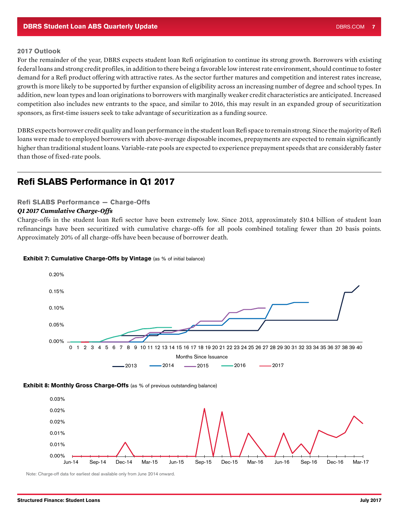### 2017 Outlook

For the remainder of the year, DBRS expects student loan Refi origination to continue its strong growth. Borrowers with existing federal loans and strong credit profiles, in addition to there being a favorable low interest rate environment, should continue to foster demand for a Refi product offering with attractive rates. As the sector further matures and competition and interest rates increase, growth is more likely to be supported by further expansion of eligibility across an increasing number of degree and school types. In addition, new loan types and loan originations to borrowers with marginally weaker credit characteristics are anticipated. Increased competition also includes new entrants to the space, and similar to 2016, this may result in an expanded group of securitization sponsors, as first-time issuers seek to take advantage of securitization as a funding source.

DBRS expects borrower credit quality and loan performance in the student loan Refi space to remain strong. Since the majority of Refi loans were made to employed borrowers with above-average disposable incomes, prepayments are expected to remain significantly higher than traditional student loans. Variable-rate pools are expected to experience prepayment speeds that are considerably faster than those of fixed-rate pools.

# Refi SLABS Performance in Q1 2017

### Refi SLABS Performance — Charge-Offs

### *Q1 2017 Cumulative Charge-Offs*

Charge-offs in the student loan Refi sector have been extremely low. Since 2013, approximately \$10.4 billion of student loan refinancings have been securitized with cumulative charge-offs for all pools combined totaling fewer than 20 basis points. Approximately 20% of all charge-offs have been because of borrower death.



#### Exhibit 7: Cumulative Charge-Offs by Vintage (as % of initial balance)

**Exhibit 8: Monthly Gross Charge-Offs** (as % of previous outstanding balance)



Note: Charge-off data for earliest deal available only from June 2014 onward.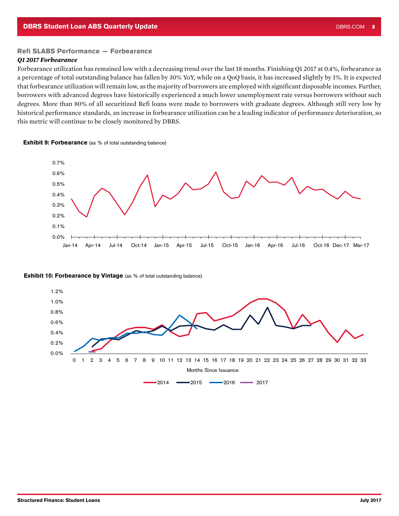### Refi SLABS Performance — Forbearance

#### *Q1 2017 Forbearance*

Forbearance utilization has remained low with a decreasing trend over the last 18 months. Finishing Q1 2017 at 0.4%, forbearance as a percentage of total outstanding balance has fallen by 30% YoY, while on a QoQ basis, it has increased slightly by 1%. It is expected that forbearance utilization will remain low, as the majority of borrowers are employed with significant disposable incomes. Further, borrowers with advanced degrees have historically experienced a much lower unemployment rate versus borrowers without such degrees. More than 80% of all securitized Refi loans were made to borrowers with graduate degrees. Although still very low by historical performance standards, an increase in forbearance utilization can be a leading indicator of performance deterioration, so this metric will continue to be closely monitored by DBRS.

**Exhibit 9: Forbearance** (as % of total outstanding balance)



#### **Exhibit 10: Forbearance by Vintage** (as % of total outstanding balance)

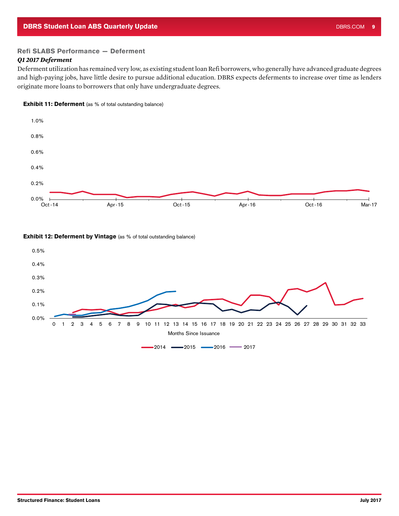### Refi SLABS Performance — Deferment

### *Q1 2017 Deferment*

Deferment utilization has remained very low, as existing student loan Refi borrowers, who generally have advanced graduate degrees and high-paying jobs, have little desire to pursue additional education. DBRS expects deferments to increase over time as lenders originate more loans to borrowers that only have undergraduate degrees.





### **Exhibit 12: Deferment by Vintage** (as % of total outstanding balance)

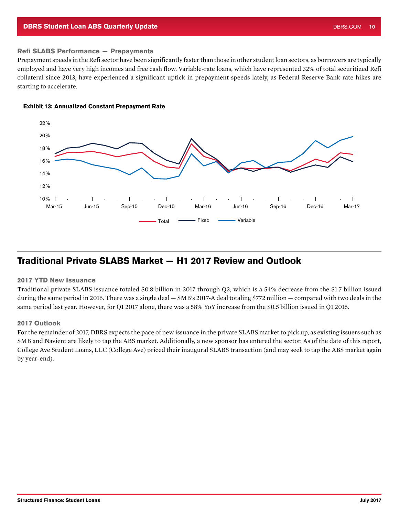#### <span id="page-9-0"></span>**DBRS Student Loan ABS Quarterly Update** DBRS.COM 10 No. 2012 12:00 No. 2014 12:00 No. 2014 12:00 No. 2014 12:00 N

#### Refi SLABS Performance — Prepayments

Prepayment speeds in the Refi sector have been significantly faster than those in other student loan sectors, as borrowers are typically employed and have very high incomes and free cash flow. Variable-rate loans, which have represented 32% of total securitized Refi collateral since 2013, have experienced a significant uptick in prepayment speeds lately, as Federal Reserve Bank rate hikes are starting to accelerate.



#### Exhibit 13: Annualized Constant Prepayment Rate

# Traditional Private SLABS Market — H1 2017 Review and Outlook

#### 2017 YTD New Issuance

Traditional private SLABS issuance totaled \$0.8 billion in 2017 through Q2, which is a 54% decrease from the \$1.7 billion issued during the same period in 2016. There was a single deal — SMB's 2017-A deal totaling \$772 million — compared with two deals in the same period last year. However, for Q1 2017 alone, there was a 58% YoY increase from the \$0.5 billion issued in Q1 2016.

#### 2017 Outlook

For the remainder of 2017, DBRS expects the pace of new issuance in the private SLABS market to pick up, as existing issuers such as SMB and Navient are likely to tap the ABS market. Additionally, a new sponsor has entered the sector. As of the date of this report, College Ave Student Loans, LLC (College Ave) priced their inaugural SLABS transaction (and may seek to tap the ABS market again by year-end).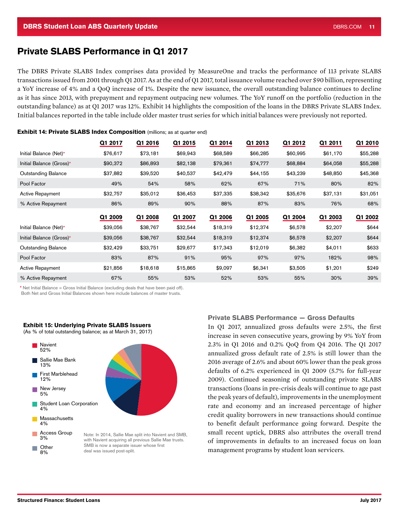# <span id="page-10-0"></span>Private SLABS Performance in Q1 2017

The DBRS Private SLABS Index comprises data provided by MeasureOne and tracks the performance of 113 private SLABS transactions issued from 2001 through Q1 2017. As at the end of Q1 2017, total issuance volume reached over \$90 billion, representing a YoY increase of 4% and a QoQ increase of 1%. Despite the new issuance, the overall outstanding balance continues to decline as it has since 2013, with prepayment and repayment outpacing new volumes. The YoY runoff on the portfolio (reduction in the outstanding balance) as at Q1 2017 was 12%. Exhibit 14 highlights the composition of the loans in the DBRS Private SLABS Index. Initial balances reported in the table include older master trust series for which initial balances were previously not reported.

|                            | Q1 2017  | Q1 2016  | Q1 2015  | Q1 2014  | Q1 2013  | Q1 2012  | Q1 2011  | Q1 2010  |
|----------------------------|----------|----------|----------|----------|----------|----------|----------|----------|
| Initial Balance (Net)*     | \$76,617 | \$73,181 | \$69,943 | \$68,589 | \$66,285 | \$60,995 | \$61,170 | \$55,288 |
| Initial Balance (Gross)*   | \$90,372 | \$86,893 | \$82,138 | \$79,361 | \$74,777 | \$68,884 | \$64,058 | \$55,288 |
| <b>Outstanding Balance</b> | \$37,882 | \$39,520 | \$40,537 | \$42,479 | \$44,155 | \$43,239 | \$48,850 | \$45,368 |
| Pool Factor                | 49%      | 54%      | 58%      | 62%      | 67%      | 71%      | 80%      | 82%      |
| <b>Active Repayment</b>    | \$32,757 | \$35,012 | \$36,453 | \$37,335 | \$38,342 | \$35,676 | \$37,131 | \$31,051 |
| % Active Repayment         | 86%      | 89%      | 90%      | 88%      | 87%      | 83%      | 76%      | 68%      |
|                            | Q1 2009  | Q1 2008  | Q1 2007  | Q1 2006  | Q1 2005  | Q1 2004  | Q1 2003  | Q1 2002  |
| Initial Balance (Net)*     | \$39,056 | \$38,767 | \$32,544 | \$18,319 | \$12,374 | \$6,578  | \$2,207  | \$644    |
| Initial Balance (Gross)*   | \$39,056 | \$38,767 | \$32,544 | \$18,319 | \$12,374 | \$6,578  | \$2,207  | \$644    |
| <b>Outstanding Balance</b> | \$32,429 | \$33,751 | \$29,677 | \$17,343 | \$12,019 | \$6,382  | \$4,011  | \$633    |
| Pool Factor                | 83%      | 87%      | 91%      | 95%      | 97%      | 97%      | 182%     | 98%      |
| <b>Active Repayment</b>    | \$21,856 | \$18,618 | \$15,865 | \$9,097  | \$6,341  | \$3,505  | \$1,201  | \$249    |
| % Active Repayment         | 67%      | 55%      | 53%      | 52%      | 53%      | 55%      | 30%      | 39%      |

**Exhibit 14: Private SLABS Index Composition** (millions; as at quarter end)

\* Net Initial Balance = Gross Initial Balance (excluding deals that have been paid off). Both Net and Gross Initial Balances shown here include balances of master trusts.

#### Exhibit 15: Underlying Private SLABS Issuers

(As % of total outstanding balance; as at March 31, 2017)



### Private SLABS Performance — Gross Defaults

In Q1 2017, annualized gross defaults were 2.5%, the first increase in seven consecutive years, growing by 9% YoY from 2.3% in Q1 2016 and 0.2% QoQ from Q4 2016. The Q1 2017 annualized gross default rate of 2.5% is still lower than the 2016 average of 2.6% and about 60% lower than the peak gross defaults of 6.2% experienced in Q1 2009 (5.7% for full-year 2009). Continued seasoning of outstanding private SLABS transactions (loans in pre-crisis deals will continue to age past the peak years of default), improvements in the unemployment rate and economy and an increased percentage of higher credit quality borrowers in new transactions should continue to benefit default performance going forward. Despite the small recent uptick, DBRS also attributes the overall trend of improvements in defaults to an increased focus on loan management programs by student loan servicers.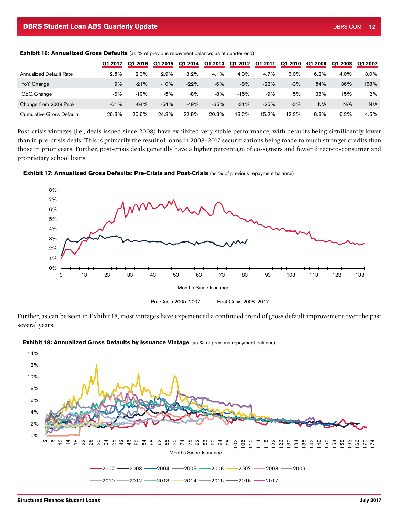|                                  | Q1 2017 | Q1 2016 | Q1 2015 | Q1 2014 | Q1 2013 | Q1 2012 | Q1 2011 | Q1 2010 | Q1 2009 | Q1 2008 | Q1 2007 |
|----------------------------------|---------|---------|---------|---------|---------|---------|---------|---------|---------|---------|---------|
| Annualized Default Rate          | 2.5%    | 2.3%    | 2.9%    | 3.2%    | 4.1%    | 4.3%    | 4.7%    | 6.0%    | 6.2%    | 4.0%    | 3.0%    |
| YoY Change                       | 9%      | $-21%$  | $-10%$  | $-22%$  | $-6%$   | $-8%$   | $-22%$  | $-3%$   | 54%     | 36%     | 168%    |
| QoQ Change                       | $-6%$   | $-19%$  | $-5%$   | $-8%$   | $-8%$   | $-15%$  | -9%     | 5%      | 38%     | 15%     | 12%     |
| Change from 2009 Peak            | $-61%$  | $-64%$  | $-54%$  | $-49%$  | $-35%$  | $-31%$  | $-25%$  | $-3%$   | N/A     | N/A     | N/A     |
| <b>Cumulative Gross Defaults</b> | 26.8%   | 25.6%   | 24.3%   | 22.8%   | 20.8%   | 18.2%   | 15.2%   | 12.2%   | 8.8%    | 6.2%    | 4.5%    |

**Exhibit 16: Annualized Gross Defaults** (as % of previous repayment balance; as at quarter end)

Post-crisis vintages (i.e., deals issued since 2008) have exhibited very stable performance, with defaults being significantly lower than in pre-crisis deals. This is primarily the result of loans in 2008–2017 securitizations being made to much stronger credits than those in prior years. Further, post-crisis deals generally have a higher percentage of co-signers and fewer direct-to-consumer and proprietary school loans.



Exhibit 17: Annualized Gross Defaults: Pre-Crisis and Post-Crisis (as % of previous repayment balance)

Further, as can be seen in Exhibit 18, most vintages have experienced a continued trend of gross default improvement over the past several years.



### Exhibit 18: Annualized Gross Defaults by Issuance Vintage (as % of previous repayment balance)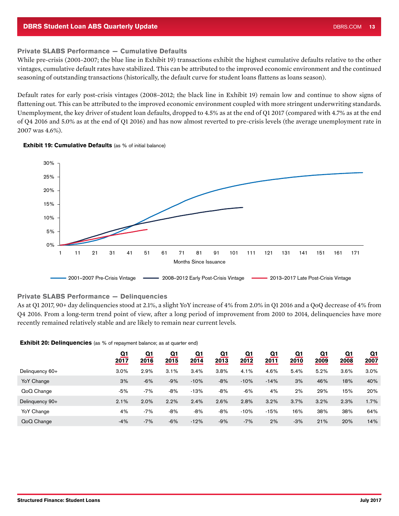### Private SLABS Performance — Cumulative Defaults

While pre-crisis (2001–2007; the blue line in Exhibit 19) transactions exhibit the highest cumulative defaults relative to the other vintages, cumulative default rates have stabilized. This can be attributed to the improved economic environment and the continued seasoning of outstanding transactions (historically, the default curve for student loans flattens as loans season).

Default rates for early post-crisis vintages (2008–2012; the black line in Exhibit 19) remain low and continue to show signs of flattening out. This can be attributed to the improved economic environment coupled with more stringent underwriting standards. Unemployment, the key driver of student loan defaults, dropped to 4.5% as at the end of Q1 2017 (compared with 4.7% as at the end of Q4 2016 and 5.0% as at the end of Q1 2016) and has now almost reverted to pre-crisis levels (the average unemployment rate in 2007 was 4.6%).





#### Private SLABS Performance — Delinquencies

As at Q1 2017, 90+ day delinquencies stood at 2.1%, a slight YoY increase of 4% from 2.0% in Q1 2016 and a QoQ decrease of 4% from Q4 2016. From a long-term trend point of view, after a long period of improvement from 2010 to 2014, delinquencies have more recently remained relatively stable and are likely to remain near current levels.

#### **Exhibit 20: Delinquencies** (as % of repayment balance; as at quarter end)

|                 | <u>Q1</u><br>2017 | Q1<br>2016 | <u>Q1</u><br>2015 | Q1<br>2014 | Q1<br>2013 | Q1<br>2012 | Q1<br>2011 | $\overline{\mathbf{Q}}$ 1<br>2010 | Q1<br>2009 | Q1<br>2008 | Q1<br>2007 |
|-----------------|-------------------|------------|-------------------|------------|------------|------------|------------|-----------------------------------|------------|------------|------------|
| Delinquency 60+ | 3.0%              | 2.9%       | 3.1%              | 3.4%       | 3.8%       | 4.1%       | 4.6%       | 5.4%                              | 5.2%       | $3.6\%$    | 3.0%       |
| YoY Change      | 3%                | $-6%$      | $-9%$             | $-10%$     | $-8%$      | $-10%$     | $-14%$     | 3%                                | 46%        | 18%        | 40%        |
| QoQ Change      | $-5%$             | $-7%$      | $-8%$             | $-13%$     | $-8%$      | $-6%$      | 4%         | 2%                                | 29%        | 15%        | 20%        |
| Delinquency 90+ | 2.1%              | 2.0%       | 2.2%              | 2.4%       | 2.6%       | 2.8%       | 3.2%       | 3.7%                              | 3.2%       | 2.3%       | 1.7%       |
| YoY Change      | 4%                | $-7%$      | $-8%$             | $-8%$      | $-8%$      | $-10%$     | $-15%$     | 16%                               | 38%        | 38%        | 64%        |
| QoQ Change      | $-4%$             | $-7%$      | $-6%$             | $-12%$     | $-9%$      | $-7%$      | 2%         | $-3%$                             | 21%        | 20%        | 14%        |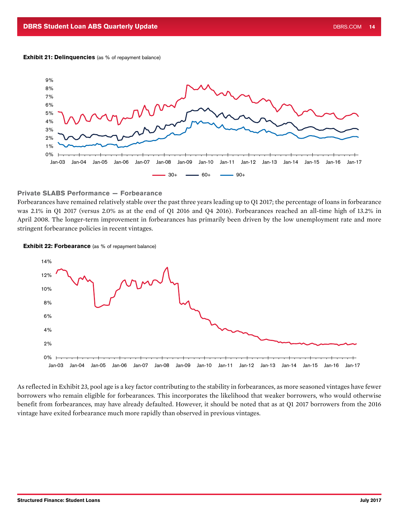#### Exhibit 21: Delinquencies (as % of repayment balance)



### Private SLABS Performance — Forbearance

Forbearances have remained relatively stable over the past three years leading up to Q1 2017; the percentage of loans in forbearance was 2.1% in Q1 2017 (versus 2.0% as at the end of Q1 2016 and Q4 2016). Forbearances reached an all-time high of 13.2% in April 2008. The longer-term improvement in forbearances has primarily been driven by the low unemployment rate and more stringent forbearance policies in recent vintages.

**Exhibit 22: Forbearance** (as % of repayment balance)



As reflected in Exhibit 23, pool age is a key factor contributing to the stability in forbearances, as more seasoned vintages have fewer borrowers who remain eligible for forbearances. This incorporates the likelihood that weaker borrowers, who would otherwise benefit from forbearances, may have already defaulted. However, it should be noted that as at Q1 2017 borrowers from the 2016 vintage have exited forbearance much more rapidly than observed in previous vintages.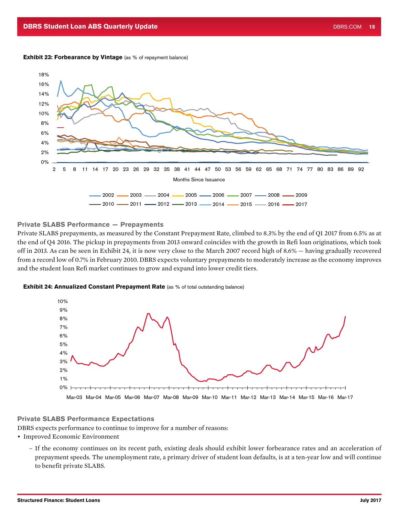#### **Exhibit 23: Forbearance by Vintage** (as % of repayment balance)



#### Private SLABS Performance — Prepayments

Private SLABS prepayments, as measured by the Constant Prepayment Rate, climbed to 8.3% by the end of Q1 2017 from 6.5% as at the end of Q4 2016. The pickup in prepayments from 2013 onward coincides with the growth in Refi loan originations, which took off in 2013. As can be seen in Exhibit 24, it is now very close to the March 2007 record high of 8.6% — having gradually recovered from a record low of 0.7% in February 2010. DBRS expects voluntary prepayments to moderately increase as the economy improves and the student loan Refi market continues to grow and expand into lower credit tiers.





#### Private SLABS Performance Expectations

DBRS expects performance to continue to improve for a number of reasons:

- Improved Economic Environment
	- If the economy continues on its recent path, existing deals should exhibit lower forbearance rates and an acceleration of prepayment speeds. The unemployment rate, a primary driver of student loan defaults, is at a ten-year low and will continue to benefit private SLABS.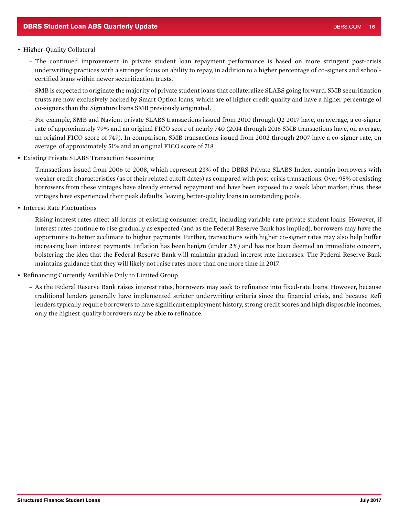#### • Higher-Quality Collateral

- The continued improvement in private student loan repayment performance is based on more stringent post-crisis underwriting practices with a stronger focus on ability to repay, in addition to a higher percentage of co-signers and schoolcertified loans within newer securitization trusts.
- SMB is expected to originate the majority of private student loans that collateralize SLABS going forward. SMB securitization trusts are now exclusively backed by Smart Option loans, which are of higher credit quality and have a higher percentage of co-signers than the Signature loans SMB previously originated.
- For example, SMB and Navient private SLABS transactions issued from 2010 through Q2 2017 have, on average, a co-signer rate of approximately 79% and an original FICO score of nearly 740 (2014 through 2016 SMB transactions have, on average, an original FICO score of 747). In comparison, SMB transactions issued from 2002 through 2007 have a co-signer rate, on average, of approximately 51% and an original FICO score of 718.
- Existing Private SLABS Transaction Seasoning
	- Transactions issued from 2006 to 2008, which represent 23% of the DBRS Private SLABS Index, contain borrowers with weaker credit characteristics (as of their related cutoff dates) as compared with post-crisis transactions. Over 95% of existing borrowers from these vintages have already entered repayment and have been exposed to a weak labor market; thus, these vintages have experienced their peak defaults, leaving better-quality loans in outstanding pools.
- Interest Rate Fluctuations
	- Rising interest rates affect all forms of existing consumer credit, including variable-rate private student loans. However, if interest rates continue to rise gradually as expected (and as the Federal Reserve Bank has implied), borrowers may have the opportunity to better acclimate to higher payments. Further, transactions with higher co-signer rates may also help buffer increasing loan interest payments. Inflation has been benign (under 2%) and has not been deemed an immediate concern, bolstering the idea that the Federal Reserve Bank will maintain gradual interest rate increases. The Federal Reserve Bank maintains guidance that they will likely not raise rates more than one more time in 2017.
- Refinancing Currently Available Only to Limited Group
	- As the Federal Reserve Bank raises interest rates, borrowers may seek to refinance into fixed-rate loans. However, because traditional lenders generally have implemented stricter underwriting criteria since the financial crisis, and because Refi lenders typically require borrowers to have significant employment history, strong credit scores and high disposable incomes, only the highest-quality borrowers may be able to refinance.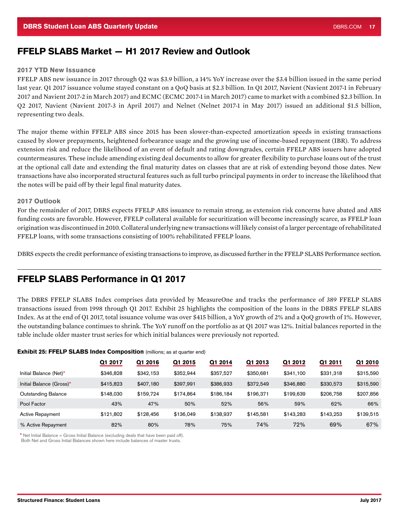# <span id="page-16-0"></span>FFELP SLABS Market — H1 2017 Review and Outlook

#### 2017 YTD New Issuance

FFELP ABS new issuance in 2017 through Q2 was \$3.9 billion, a 14% YoY increase over the \$3.4 billion issued in the same period last year. Q1 2017 issuance volume stayed constant on a QoQ basis at \$2.3 billion. In Q1 2017, Navient (Navient 2017-1 in February 2017 and Navient 2017-2 in March 2017) and ECMC (ECMC 2017-1 in March 2017) came to market with a combined \$2.3 billion. In Q2 2017, Navient (Navient 2017-3 in April 2017) and Nelnet (Nelnet 2017-1 in May 2017) issued an additional \$1.5 billion, representing two deals.

The major theme within FFELP ABS since 2015 has been slower-than-expected amortization speeds in existing transactions caused by slower prepayments, heightened forbearance usage and the growing use of income-based repayment (IBR). To address extension risk and reduce the likelihood of an event of default and rating downgrades, certain FFELP ABS issuers have adopted countermeasures. These include amending existing deal documents to allow for greater flexibility to purchase loans out of the trust at the optional call date and extending the final maturity dates on classes that are at risk of extending beyond those dates. New transactions have also incorporated structural features such as full turbo principal payments in order to increase the likelihood that the notes will be paid off by their legal final maturity dates.

#### 2017 Outlook

For the remainder of 2017, DBRS expects FFELP ABS issuance to remain strong, as extension risk concerns have abated and ABS funding costs are favorable. However, FFELP collateral available for securitization will become increasingly scarce, as FFELP loan origination was discontinued in 2010. Collateral underlying new transactions will likely consist of a larger percentage of rehabilitated FFELP loans, with some transactions consisting of 100% rehabilitated FFELP loans.

DBRS expects the credit performance of existing transactions to improve, as discussed further in the FFELP SLABS Performance section.

# FFELP SLABS Performance in Q1 2017

The DBRS FFELP SLABS Index comprises data provided by MeasureOne and tracks the performance of 389 FFELP SLABS transactions issued from 1998 through Q1 2017. Exhibit 25 highlights the composition of the loans in the DBRS FFELP SLABS Index. As at the end of Q1 2017, total issuance volume was over \$415 billion, a YoY growth of 2% and a QoQ growth of 1%. However, the outstanding balance continues to shrink. The YoY runoff on the portfolio as at Q1 2017 was 12%. Initial balances reported in the table include older master trust series for which initial balances were previously not reported.

|                            | Q1 2017   | Q1 2016   | Q1 2015   | Q1 2014   | Q1 2013   | Q1 2012   | Q1 2011   | Q1 2010   |
|----------------------------|-----------|-----------|-----------|-----------|-----------|-----------|-----------|-----------|
| Initial Balance (Net)*     | \$346,828 | \$342.153 | \$352.944 | \$357.527 | \$350,681 | \$341,100 | \$331,318 | \$315,590 |
| Initial Balance (Gross)*   | \$415,823 | \$407,180 | \$397,991 | \$386,933 | \$372,549 | \$346,880 | \$330,573 | \$315,590 |
| <b>Outstanding Balance</b> | \$148,030 | \$159.724 | \$174.864 | \$186.184 | \$196.371 | \$199,639 | \$206.758 | \$207.856 |
| Pool Factor                | 43%       | 47%       | 50%       | 52%       | 56%       | 59%       | 62%       | 66%       |
| <b>Active Repayment</b>    | \$121.802 | \$128,456 | \$136,049 | \$138,937 | \$145.581 | \$143.283 | \$143.253 | \$139.515 |
| % Active Repayment         | 82%       | 80%       | 78%       | 75%       | 74%       | 72%       | 69%       | 67%       |

#### **Exhibit 25: FFELP SLABS Index Composition** (millions; as at quarter end)

\* Net Initial Balance = Gross Initial Balance (excluding deals that have been paid off).

Both Net and Gross Initial Balances shown here include balances of master trusts.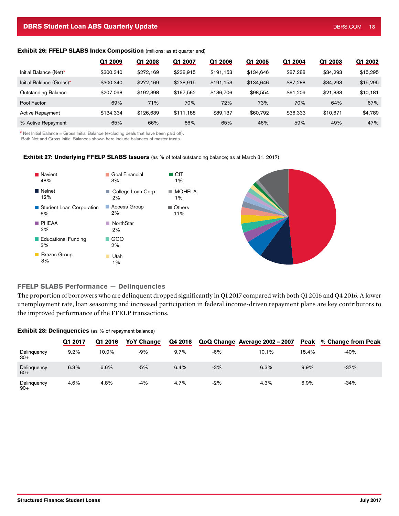#### **DBRS Student Loan ABS Quarterly Update** DBRS.COM 18 No. 2006 2014 1997 1998 1998 2014 1998 1998 1998 2014 1998 1

#### **Exhibit 26: FFELP SLABS Index Composition** (millions; as at quarter end)

|                          | Q1 2009   | Q1 2008   | Q1 2007   | Q1 2006   | 2005<br>Ω1 | Q1 2004  | Q1 2003  | Q1 2002  |
|--------------------------|-----------|-----------|-----------|-----------|------------|----------|----------|----------|
| Initial Balance (Net)*   | \$300.340 | \$272,169 | \$238.915 | \$191,153 | \$134,646  | \$87,288 | \$34,293 | \$15,295 |
| Initial Balance (Gross)* | \$300,340 | \$272,169 | \$238,915 | \$191,153 | \$134,646  | \$87,288 | \$34,293 | \$15,295 |
| Outstanding Balance      | \$207.098 | \$192,398 | \$167.562 | \$136,706 | \$98,554   | \$61,209 | \$21,833 | \$10,181 |
| Pool Factor              | 69%       | 71%       | 70%       | 72%       | 73%        | 70%      | 64%      | 67%      |
| <b>Active Repayment</b>  | \$134.334 | \$126,639 | \$111.188 | \$89,137  | \$60,792   | \$36,333 | \$10.671 | \$4,789  |
| % Active Repayment       | 65%       | 66%       | 66%       | 65%       | 46%        | 59%      | 49%      | 47%      |

\* Net Initial Balance = Gross Initial Balance (excluding deals that have been paid off).

Both Net and Gross Initial Balances shown here include balances of master trusts.

### Exhibit 27: Underlying FFELP SLABS Issuers (as % of total outstanding balance; as at March 31, 2017)



### FFELP SLABS Performance — Delinquencies

The proportion of borrowers who are delinquent dropped significantly in Q1 2017 compared with both Q1 2016 and Q4 2016. A lower unemployment rate, loan seasoning and increased participation in federal income-driven repayment plans are key contributors to the improved performance of the FFELP transactions.

#### **Exhibit 28: Delinquencies** (as % of repayment balance)

|                      | Q1 2017 | Q1 2016 | <b>YoY Change</b> | Q4 2016 |       | QoQ Change Average 2002 - 2007 | <b>Peak</b> | % Change from Peak |
|----------------------|---------|---------|-------------------|---------|-------|--------------------------------|-------------|--------------------|
| Delinquency<br>$30+$ | 9.2%    | 10.0%   | $-9%$             | 9.7%    | $-6%$ | 10.1%                          | 15.4%       | $-40%$             |
| Delinquency<br>$60+$ | 6.3%    | 6.6%    | $-5%$             | 6.4%    | $-3%$ | 6.3%                           | 9.9%        | $-37%$             |
| Delinguency<br>$90+$ | 4.6%    | 4.8%    | -4%               | 4.7%    | $-2%$ | 4.3%                           | 6.9%        | $-34%$             |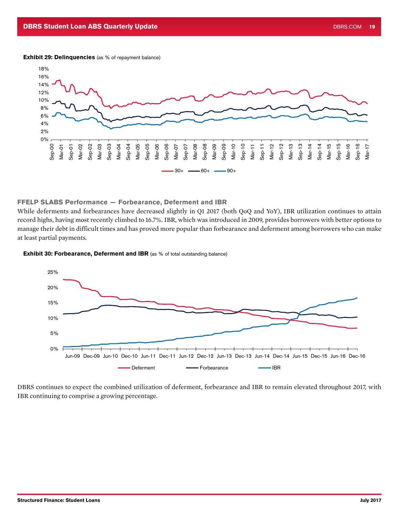#### Exhibit 29: Delinquencies (as % of repayment balance)



#### FFELP SLABS Performance — Forbearance, Deferment and IBR

While deferments and forbearances have decreased slightly in Q1 2017 (both QoQ and YoY), IBR utilization continues to attain record highs, having most recently climbed to 16.7%. IBR, which was introduced in 2009, provides borrowers with better options to manage their debt in difficult times and has proved more popular than forbearance and deferment among borrowers who can make at least partial payments.

#### **Exhibit 30: Forbearance, Deferment and IBR** (as % of total outstanding balance)



DBRS continues to expect the combined utilization of deferment, forbearance and IBR to remain elevated throughout 2017, with IBR continuing to comprise a growing percentage.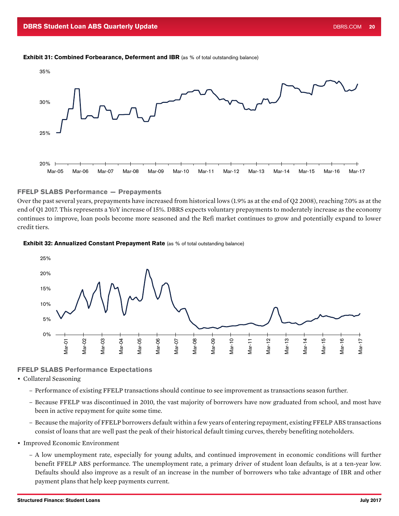#### **Exhibit 31: Combined Forbearance, Deferment and IBR** (as % of total outstanding balance)



#### FFELP SLABS Performance — Prepayments

Over the past several years, prepayments have increased from historical lows (1.9% as at the end of Q2 2008), reaching 7.0% as at the end of Q1 2017. This represents a YoY increase of 15%. DBRS expects voluntary prepayments to moderately increase as the economy continues to improve, loan pools become more seasoned and the Refi market continues to grow and potentially expand to lower credit tiers.





#### FFELP SLABS Performance Expectations

- Collateral Seasoning
	- Performance of existing FFELP transactions should continue to see improvement as transactions season further.
	- Because FFELP was discontinued in 2010, the vast majority of borrowers have now graduated from school, and most have been in active repayment for quite some time.
	- Because the majority of FFELP borrowers default within a few years of entering repayment, existing FFELP ABS transactions consist of loans that are well past the peak of their historical default timing curves, thereby benefiting noteholders.
- Improved Economic Environment
	- A low unemployment rate, especially for young adults, and continued improvement in economic conditions will further benefit FFELP ABS performance. The unemployment rate, a primary driver of student loan defaults, is at a ten-year low. Defaults should also improve as a result of an increase in the number of borrowers who take advantage of IBR and other payment plans that help keep payments current.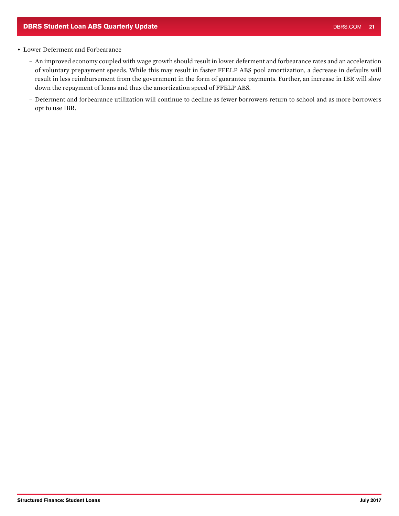### • Lower Deferment and Forbearance

- An improved economy coupled with wage growth should result in lower deferment and forbearance rates and an acceleration of voluntary prepayment speeds. While this may result in faster FFELP ABS pool amortization, a decrease in defaults will result in less reimbursement from the government in the form of guarantee payments. Further, an increase in IBR will slow down the repayment of loans and thus the amortization speed of FFELP ABS.
- Deferment and forbearance utilization will continue to decline as fewer borrowers return to school and as more borrowers opt to use IBR.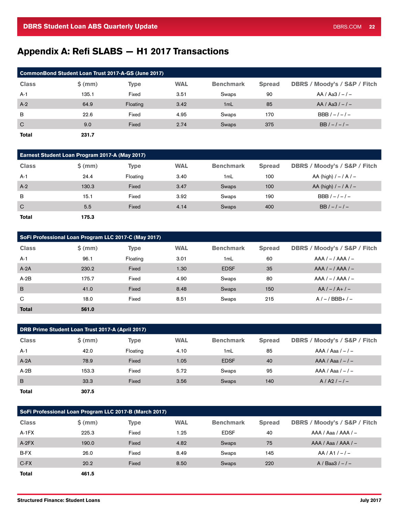# <span id="page-21-0"></span>Appendix A: Refi SLABS — H1 2017 Transactions

| CommonBond Student Loan Trust 2017-A-GS (June 2017) |          |             |            |                  |               |                                         |  |  |  |  |
|-----------------------------------------------------|----------|-------------|------------|------------------|---------------|-----------------------------------------|--|--|--|--|
| <b>Class</b>                                        | $$$ (mm) | <b>Type</b> | <b>WAL</b> | <b>Benchmark</b> | <b>Spread</b> | <b>DBRS / Moody's / S&amp;P / Fitch</b> |  |  |  |  |
| $A-1$                                               | 135.1    | Fixed       | 3.51       | Swaps            | 90            | $AA / Aa3 / - -$                        |  |  |  |  |
| $A-2$                                               | 64.9     | Floating    | 3.42       | 1mL              | 85            | $AA / Aa3 / - -$                        |  |  |  |  |
| B                                                   | 22.6     | Fixed       | 4.95       | Swaps            | 170           | $BBB/-/-/-$                             |  |  |  |  |
| $\mathbf C$                                         | 9.0      | Fixed       | 2.74       | Swaps            | 375           | $BB/-/-/-$                              |  |  |  |  |
| <b>Total</b>                                        | 231.7    |             |            |                  |               |                                         |  |  |  |  |

| <b>Earnest Student Loan Program 2017-A (May 2017)</b> |          |             |            |                  |               |                                         |  |  |  |  |
|-------------------------------------------------------|----------|-------------|------------|------------------|---------------|-----------------------------------------|--|--|--|--|
| <b>Class</b>                                          | $$$ (mm) | <b>Type</b> | <b>WAL</b> | <b>Benchmark</b> | <b>Spread</b> | <b>DBRS / Moody's / S&amp;P / Fitch</b> |  |  |  |  |
| $A-1$                                                 | 24.4     | Floating    | 3.40       | 1mL              | 100           | AA (high) $/ - / A / -$                 |  |  |  |  |
| $A-2$                                                 | 130.3    | Fixed       | 3.47       | Swaps            | 100           | AA (high) $/ - / A / -$                 |  |  |  |  |
| B                                                     | 15.1     | Fixed       | 3.92       | Swaps            | 190           | $BBB/-/-/-$                             |  |  |  |  |
| $\mathbf C$                                           | 5.5      | Fixed       | 4.14       | Swaps            | 400           | $BB/-/-/-$                              |  |  |  |  |
| <b>Total</b>                                          | 175.3    |             |            |                  |               |                                         |  |  |  |  |

| SoFi Professional Loan Program LLC 2017-C (May 2017) |          |             |            |                  |               |                              |  |  |  |
|------------------------------------------------------|----------|-------------|------------|------------------|---------------|------------------------------|--|--|--|
| <b>Class</b>                                         | $$$ (mm) | <b>Type</b> | <b>WAL</b> | <b>Benchmark</b> | <b>Spread</b> | DBRS / Moody's / S&P / Fitch |  |  |  |
| $A-1$                                                | 96.1     | Floating    | 3.01       | 1mL              | 60            | $AAA / - / AAA / -$          |  |  |  |
| $A-2A$                                               | 230.2    | Fixed       | 1.30       | <b>EDSF</b>      | 35            | $AAA / - / AAA / -$          |  |  |  |
| $A-2B$                                               | 175.7    | Fixed       | 4.90       | Swaps            | 80            | $AAA / - / AAA / -$          |  |  |  |
| $\overline{B}$                                       | 41.0     | Fixed       | 8.48       | Swaps            | 150           | $AA/-/A+/-$                  |  |  |  |
| C                                                    | 18.0     | Fixed       | 8.51       | Swaps            | 215           | $A/-/BBB+/-$                 |  |  |  |
| <b>Total</b>                                         | 561.0    |             |            |                  |               |                              |  |  |  |

| DRB Prime Student Loan Trust 2017-A (April 2017) |          |             |            |                  |               |                                         |  |  |  |
|--------------------------------------------------|----------|-------------|------------|------------------|---------------|-----------------------------------------|--|--|--|
| <b>Class</b>                                     | $$$ (mm) | <b>Type</b> | <b>WAL</b> | <b>Benchmark</b> | <b>Spread</b> | <b>DBRS / Moody's / S&amp;P / Fitch</b> |  |  |  |
| $A-1$                                            | 42.0     | Floating    | 4.10       | 1mL              | 85            | $AAA / Aaa / -$                         |  |  |  |
| $A-2A$                                           | 78.9     | Fixed       | 1.05       | <b>EDSF</b>      | 40            | $AAA / Aaa / -$                         |  |  |  |
| $A-2B$                                           | 153.3    | Fixed       | 5.72       | Swaps            | 95            | $AAA / Aaa / -$                         |  |  |  |
| B                                                | 33.3     | Fixed       | 3.56       | Swaps            | 140           | $A / A2 / - -$                          |  |  |  |
| <b>Total</b>                                     | 307.5    |             |            |                  |               |                                         |  |  |  |

| SoFi Professional Loan Program LLC 2017-B (March 2017) |          |             |            |                  |               |                              |  |  |  |
|--------------------------------------------------------|----------|-------------|------------|------------------|---------------|------------------------------|--|--|--|
| <b>Class</b>                                           | $$$ (mm) | <b>Type</b> | <b>WAL</b> | <b>Benchmark</b> | <b>Spread</b> | DBRS / Moody's / S&P / Fitch |  |  |  |
| $A-1FX$                                                | 225.3    | Fixed       | 1.25       | <b>EDSF</b>      | 40            | $AAA / Aaa / AAA / -$        |  |  |  |
| $A-2FX$                                                | 190.0    | Fixed       | 4.82       | Swaps            | 75            | $AAA / Aaa / AAA / -$        |  |  |  |
| B-FX                                                   | 26.0     | Fixed       | 8.49       | Swaps            | 145           | $AA/A1/–/-$                  |  |  |  |
| $C-FX$                                                 | 20.2     | Fixed       | 8.50       | Swaps            | 220           | $A / Baa3 / - -$             |  |  |  |
| <b>Total</b>                                           | 461.5    |             |            |                  |               |                              |  |  |  |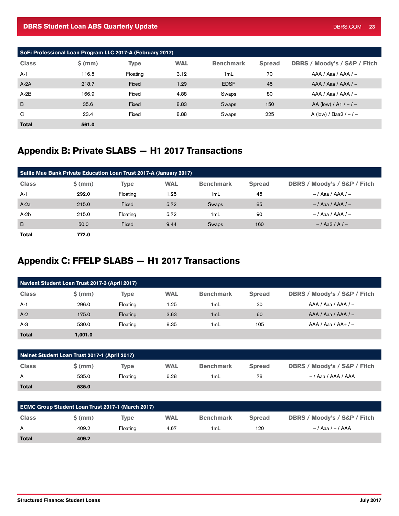<span id="page-22-0"></span>

| SoFi Professional Loan Program LLC 2017-A (February 2017) |          |             |            |                  |               |                              |  |  |  |
|-----------------------------------------------------------|----------|-------------|------------|------------------|---------------|------------------------------|--|--|--|
| <b>Class</b>                                              | $$$ (mm) | <b>Type</b> | <b>WAL</b> | <b>Benchmark</b> | <b>Spread</b> | DBRS / Moody's / S&P / Fitch |  |  |  |
| $A-1$                                                     | 116.5    | Floating    | 3.12       | 1mL              | 70            | $AAA / Aaa / AAA / -$        |  |  |  |
| $A-2A$                                                    | 218.7    | Fixed       | 1.29       | <b>EDSF</b>      | 45            | $AAA / Aaa / AAA / -$        |  |  |  |
| $A-2B$                                                    | 166.9    | Fixed       | 4.88       | Swaps            | 80            | $AAA / Aaa / AAA / -$        |  |  |  |
| B                                                         | 35.6     | Fixed       | 8.83       | Swaps            | 150           | AA (low) / A1 / $-$ / $-$    |  |  |  |
| C                                                         | 23.4     | Fixed       | 8.88       | Swaps            | 225           | A (low) / Baa2 $/ - / -$     |  |  |  |
| <b>Total</b>                                              | 561.0    |             |            |                  |               |                              |  |  |  |

# Appendix B: Private SLABS — H1 2017 Transactions

| Sallie Mae Bank Private Education Loan Trust 2017-A (January 2017) |          |          |            |                  |               |                                         |  |  |  |
|--------------------------------------------------------------------|----------|----------|------------|------------------|---------------|-----------------------------------------|--|--|--|
| <b>Class</b>                                                       | $$$ (mm) | Type     | <b>WAL</b> | <b>Benchmark</b> | <b>Spread</b> | <b>DBRS / Moody's / S&amp;P / Fitch</b> |  |  |  |
| $A-1$                                                              | 292.0    | Floating | 1.25       | 1mL              | 45            | $-$ / Aaa / AAA / $-$                   |  |  |  |
| $A-2a$                                                             | 215.0    | Fixed    | 5.72       | Swaps            | 85            | $-$ / Aaa / AAA / $-$                   |  |  |  |
| $A-2b$                                                             | 215.0    | Floating | 5.72       | 1mL              | 90            | $-$ / Aaa / AAA / $-$                   |  |  |  |
| B                                                                  | 50.0     | Fixed    | 9.44       | Swaps            | 160           | $-$ /Aa3/A/ $-$                         |  |  |  |
| <b>Total</b>                                                       | 772.0    |          |            |                  |               |                                         |  |  |  |

# Appendix C: FFELP SLABS — H1 2017 Transactions

| Navient Student Loan Trust 2017-3 (April 2017) |          |             |            |                  |               |                              |  |  |
|------------------------------------------------|----------|-------------|------------|------------------|---------------|------------------------------|--|--|
| <b>Class</b>                                   | $$$ (mm) | <b>Type</b> | <b>WAL</b> | <b>Benchmark</b> | <b>Spread</b> | DBRS / Moody's / S&P / Fitch |  |  |
| $A-1$                                          | 296.0    | Floating    | 1.25       | 1mL              | 30            | $AAA / Aaa / AAA / -$        |  |  |
| $A-2$                                          | 175.0    | Floating    | 3.63       | 1mL              | 60            | $AAA / Aaa / AAA / -$        |  |  |
| $A-3$                                          | 530.0    | Floating    | 8.35       | 1mL              | 105           | $AAA / Aaa / AA+/-$          |  |  |
| <b>Total</b>                                   | 1,001.0  |             |            |                  |               |                              |  |  |

| Nelnet Student Loan Trust 2017-1 (April 2017) |          |          |            |                  |               |                              |  |  |
|-----------------------------------------------|----------|----------|------------|------------------|---------------|------------------------------|--|--|
| <b>Class</b>                                  | $$$ (mm) | Tvpe     | <b>WAL</b> | <b>Benchmark</b> | <b>Spread</b> | DBRS / Moody's / S&P / Fitch |  |  |
| A                                             | 535.0    | Floating | 6.28       | 1mL              | 78            | -/Aaa/AAA/AAA                |  |  |
| <b>Total</b>                                  | 535.0    |          |            |                  |               |                              |  |  |

| <b>ECMC Group Student Loan Trust 2017-1 (March 2017)</b> |       |          |            |                  |               |                              |  |  |
|----------------------------------------------------------|-------|----------|------------|------------------|---------------|------------------------------|--|--|
| <b>Class</b>                                             | S(mm) | Tvpe     | <b>WAL</b> | <b>Benchmark</b> | <b>Spread</b> | DBRS / Moody's / S&P / Fitch |  |  |
| A                                                        | 409.2 | Floating | 4.67       | 1mL              | 120           | $-$ / Aaa / $-$ / AAA        |  |  |
| <b>Total</b>                                             | 409.2 |          |            |                  |               |                              |  |  |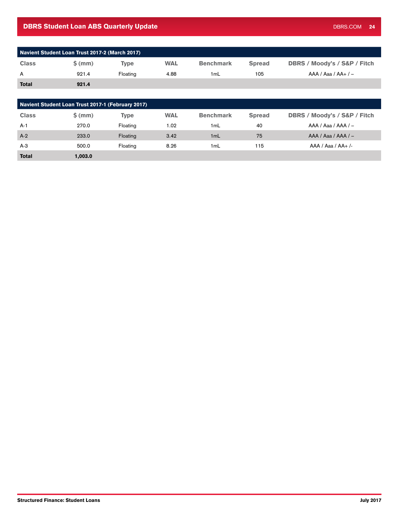### DBRS Student Loan ABS Quarterly Update **DBRS COM 24** COM 24

| Navient Student Loan Trust 2017-2 (March 2017) |       |          |            |                  |               |                                         |  |  |
|------------------------------------------------|-------|----------|------------|------------------|---------------|-----------------------------------------|--|--|
| <b>Class</b>                                   | S(mm) | Tvpe     | <b>WAL</b> | <b>Benchmark</b> | <b>Spread</b> | <b>DBRS / Moody's / S&amp;P / Fitch</b> |  |  |
| A                                              | 921.4 | Floating | 4.88       | 1 <sub>m</sub> L | 105           | $AAA / Aaa / AA+/-$                     |  |  |
| <b>Total</b>                                   | 921.4 |          |            |                  |               |                                         |  |  |

| Navient Student Loan Trust 2017-1 (February 2017) |          |             |            |                  |               |                                         |  |  |  |
|---------------------------------------------------|----------|-------------|------------|------------------|---------------|-----------------------------------------|--|--|--|
| <b>Class</b>                                      | $$$ (mm) | <b>Type</b> | <b>WAL</b> | <b>Benchmark</b> | <b>Spread</b> | <b>DBRS / Moody's / S&amp;P / Fitch</b> |  |  |  |
| $A-1$                                             | 270.0    | Floating    | 1.02       | 1mL              | 40            | $AAA / Aaa / AAA / -$                   |  |  |  |
| $A-2$                                             | 233.0    | Floating    | 3.42       | 1mL              | 75            | $AAA / Aaa / AAA / -$                   |  |  |  |
| $A-3$                                             | 500.0    | Floating    | 8.26       | 1mL              | 115           | $AAA / Aaa / AA+ /-$                    |  |  |  |
| <b>Total</b>                                      | 1,003.0  |             |            |                  |               |                                         |  |  |  |